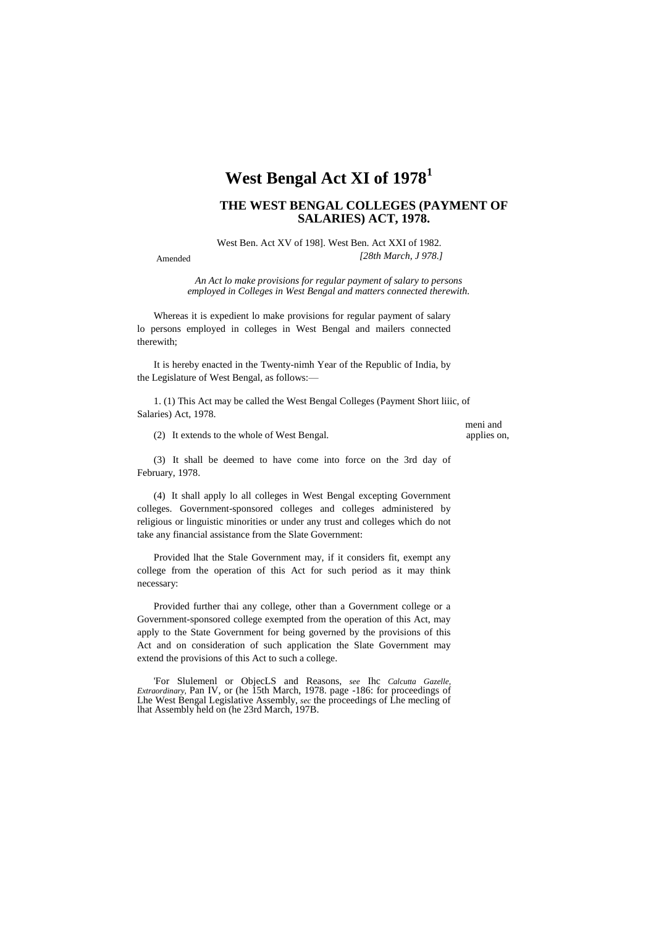## **West Bengal Act XI of 1978<sup>1</sup>**

## **THE WEST BENGAL COLLEGES (PAYMENT OF SALARIES) ACT, 1978.**

West Ben. Act XV of 198]. West Ben. Act XXI of 1982. *[28th March, J 978.]*

Amended

*An Act lo make provisions for regular payment of salary to persons employed in Colleges in West Bengal and matters connected therewith.*

Whereas it is expedient lo make provisions for regular payment of salary lo persons employed in colleges in West Bengal and mailers connected therewith;

It is hereby enacted in the Twenty-nimh Year of the Republic of India, by the Legislature of West Bengal, as follows:—

1. (1) This Act may be called the West Bengal Colleges (Payment Short liiic, of Salaries) Act, 1978.

 $(2)$  It extends to the whole of West Bengal.

meni and<br>applies on,

(3) It shall be deemed to have come into force on the 3rd day of February, 1978.

(4) It shall apply lo all colleges in West Bengal excepting Government colleges. Government-sponsored colleges and colleges administered by religious or linguistic minorities or under any trust and colleges which do not take any financial assistance from the Slate Government:

Provided lhat the Stale Government may, if it considers fit, exempt any college from the operation of this Act for such period as it may think necessary:

Provided further thai any college, other than a Government college or a Government-sponsored college exempted from the operation of this Act, may apply to the State Government for being governed by the provisions of this Act and on consideration of such application the Slate Government may extend the provisions of this Act to such a college.

'For Slulemenl or ObjecLS and Reasons, *see* Ihc *Calcutta Gazelle, Extraordinary,* Pan IV, or (he 15th March, 1978. page -186: for proceedings of Lhe West Bengal Legislative Assembly, *sec* the proceedings of Lhe mecling of lhat Assembly held on (he 23rd March, 197B.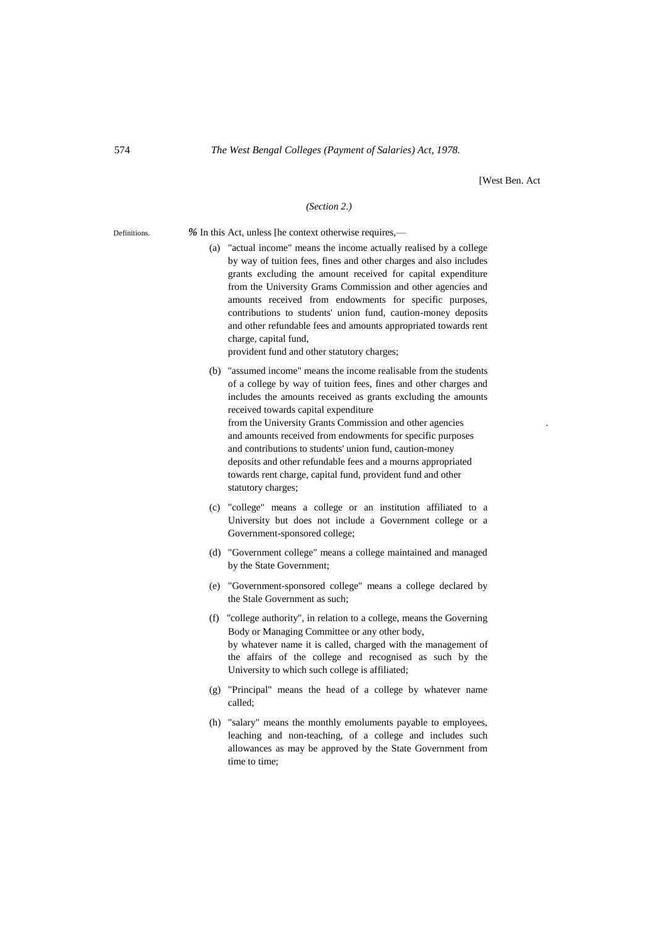[West Ben. Act

## *(Section 2.)*

Definitions. *%* In this Act, unless [he context otherwise requires,—

- (a) "actual income" means the income actually realised by a college by way of tuition fees, fines and other charges and also includes grants excluding the amount received for capital expenditure
	- from the University Grams Commission and other agencies and amounts received from endowments for specific purposes, contributions to students' union fund, caution-money deposits and other refundable fees and amounts appropriated towards rent charge, capital fund,

provident fund and other statutory charges;

- (b) "assumed income" means the income realisable from the students of a college by way of tuition fees, fines and other charges and includes the amounts received as grants excluding the amounts received towards capital expenditure from the University Grants Commission and other agencies . and amounts received from endowments for specific purposes and contributions to students' union fund, caution-money deposits and other refundable fees and a mourns appropriated towards rent charge, capital fund, provident fund and other statutory charges;
- (c) "college" means a college or an institution affiliated to a University but does not include a Government college or a Government-sponsored college;
- (d) "Government college" means a college maintained and managed by the State Government;
- (e) "Government-sponsored college" means a college declared by the Stale Government as such;
- (f) "college authority", in relation to a college, means the Governing Body or Managing Committee or any other body, by whatever name it is called, charged with the management of the affairs of the college and recognised as such by the University to which such college is affiliated;
- (g) "Principal" means the head of a college by whatever name called;
- (h) "salary" means the monthly emoluments payable to employees, leaching and non-teaching, of a college and includes such allowances as may be approved by the State Government from time to time;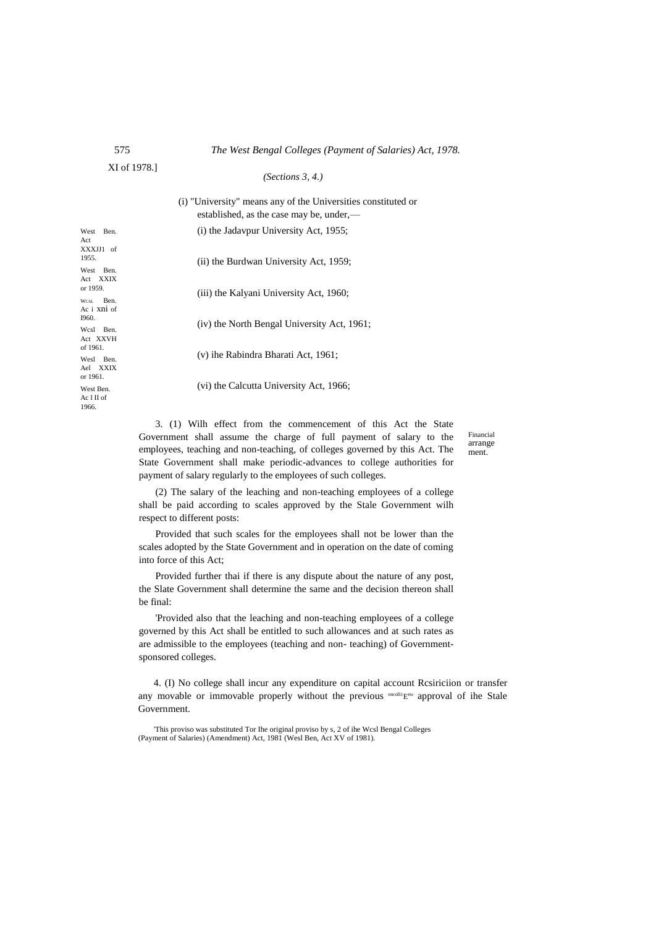| 575 |  | The West Bengal Colleges (Payment of Salaries) Act, 1978. |  |
|-----|--|-----------------------------------------------------------|--|
|-----|--|-----------------------------------------------------------|--|

XI of 1978.]

*(Sections 3, 4.)*

West Ben XXXJJ1 of West Ben. Act XXIX or 1959. WCSL Ben. Ac i xni of Wcsl Ben Act XXVH of 1961. Wesl Ben. Ael XXIX or 1961. West Ben. Ac l II of (i) "University" means any of the Universities constituted or established, as the case may be, under,— (i) the Jadavpur University Act, 1955; (ii) the Burdwan University Act, 1959; (iii) the Kalyani University Act, 1960; (iv) the North Bengal University Act, 1961; (v) ihe Rabindra Bharati Act, 1961; (vi) the Calcutta University Act, 1966;

> 3. (1) Wilh effect from the commencement of this Act the State Government shall assume the charge of full payment of salary to the employees, teaching and non-teaching, of colleges governed by this Act. The State Government shall make periodic-advances to college authorities for payment of salary regularly to the employees of such colleges.

Financial arrange ment.

(2) The salary of the leaching and non-teaching employees of a college shall be paid according to scales approved by the Stale Government wilh respect to different posts:

Provided that such scales for the employees shall not be lower than the scales adopted by the State Government and in operation on the date of coming into force of this Act;

Provided further thai if there is any dispute about the nature of any post, the Slate Government shall determine the same and the decision thereon shall be final:

'Provided also that the leaching and non-teaching employees of a college governed by this Act shall be entitled to such allowances and at such rates as are admissible to the employees (teaching and non- teaching) of Governmentsponsored colleges.

4. (I) No college shall incur any expenditure on capital account Rcsiriciion or transfer any movable or immovable properly without the previous <sup>oncolli</sup><sup>Ees</sup> approval of ihe Stale Government.

'This proviso was substituted Tor Ihe original proviso by s, 2 of ihe Wcsl Bengal Colleges (Payment of Salaries) (Amendment) Act, 1981 (Wesl Ben, Act XV of 1981).

Act

1955.

I960.

1966.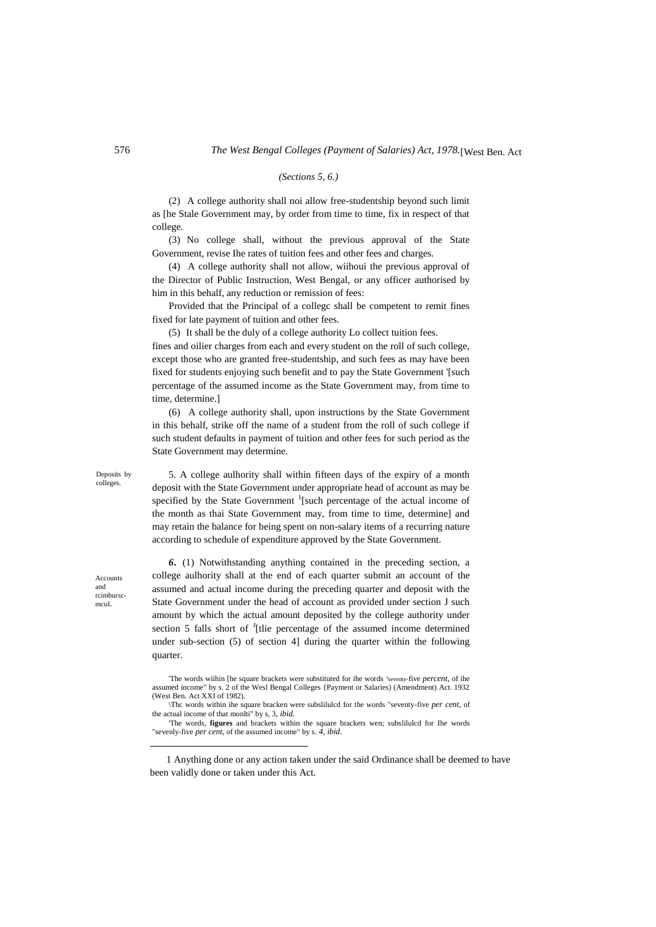## *(Sections 5, 6.)*

(2) A college authority shall noi allow free-studentship beyond such limit as [he Stale Government may, by order from time to time, fix in respect of that college.

(3) No college shall, without the previous approval of the State Government, revise Ihe rates of tuition fees and other fees and charges.

(4) A college authority shall not allow, wiihoui the previous approval of the Director of Public Instruction, West Bengal, or any officer authorised by him in this behalf, any reduction or remission of fees:

Provided that the Principal of a collegc shall be competent to remit fines fixed for late payment of tuition and other fees.

(5) It shall be the duly of a college authority Lo collect tuition fees.

fines and oilier charges from each and every student on the roll of such college, except those who are granted free-studentship, and such fees as may have been fixed for students enjoying such benefit and to pay the State Government '[such percentage of the assumed income as the State Government may, from time to time, determine.]

(6) A college authority shall, upon instructions by the State Government in this behalf, strike off the name of a student from the roll of such college if such student defaults in payment of tuition and other fees for such period as the State Government may determine.

Deposits by colleges.

Accounts and rcimburscmcuL

1

5. A college aulhority shall within fifteen days of the expiry of a month deposit with the State Government under appropriate head of account as may be specified by the State Government  $\frac{1}{2}$  [such percentage of the actual income of the month as thai State Government may, from time to time, determine] and may retain the balance for being spent on non-salary items of a recurring nature according to schedule of expenditure approved by the State Government.

*6.* (1) Notwithstanding anything contained in the preceding section, a college aulhority shall at the end of each quarter submit an account of the assumed and actual income during the preceding quarter and deposit with the State Government under the head of account as provided under section J such amount by which the actual amount deposited by the college authority under section 5 falls short of <sup>J</sup>[tlie percentage of the assumed income determined under sub-section (5) of section 4] during the quarter within the following quarter.

<sup>&#</sup>x27;The words wiihin [he square brackets were substituted for ihe words "seventy-five *percent,* of ihe assumed income" by s. 2 of the Wesl Bengal Colleges {Payment or Salaries) (Amendment) Act. 1932 (West Ben. Act XXI of 1982).

<sup>\</sup>Thc words within ihe square bracken were subslilulcd for the words "seventy-five *per cent,* of the actual income of that monlti" by s, 3, *ibid.*

<sup>&#</sup>x27;The words, **figures** and brackets within the square brackets wen; subslilulcd for Ihe words "sevenly-five *per cent,* of the assumed income" by s. *4, ibid.*

<sup>1</sup> Anything done or any action taken under the said Ordinance shall be deemed to have been validly done or taken under this Act.